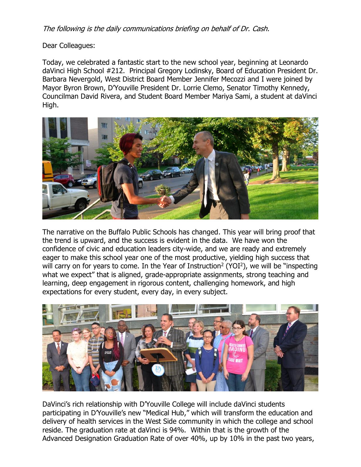The following is the daily communications briefing on behalf of Dr. Cash.

Dear Colleagues:

Today, we celebrated a fantastic start to the new school year, beginning at Leonardo daVinci High School #212. Principal Gregory Lodinsky, Board of Education President Dr. Barbara Nevergold, West District Board Member Jennifer Mecozzi and I were joined by Mayor Byron Brown, D'Youville President Dr. Lorrie Clemo, Senator Timothy Kennedy, Councilman David Rivera, and Student Board Member Mariya Sami, a student at daVinci High.



The narrative on the Buffalo Public Schools has changed. This year will bring proof that the trend is upward, and the success is evident in the data. We have won the confidence of civic and education leaders city-wide, and we are ready and extremely eager to make this school year one of the most productive, yielding high success that will carry on for years to come. In the Year of Instruction<sup>2</sup> (YOI<sup>2</sup>), we will be "inspecting what we expect" that is aligned, grade-appropriate assignments, strong teaching and learning, deep engagement in rigorous content, challenging homework, and high expectations for every student, every day, in every subject.



DaVinci's rich relationship with D'Youville College will include daVinci students participating in D'Youville's new "Medical Hub," which will transform the education and delivery of health services in the West Side community in which the college and school reside. The graduation rate at daVinci is 94%. Within that is the growth of the Advanced Designation Graduation Rate of over 40%, up by 10% in the past two years,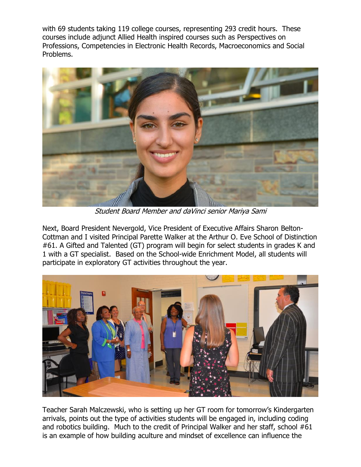with 69 students taking 119 college courses, representing 293 credit hours. These courses include adjunct Allied Health inspired courses such as Perspectives on Professions, Competencies in Electronic Health Records, Macroeconomics and Social Problems.



Student Board Member and daVinci senior Mariya Sami

Next, Board President Nevergold, Vice President of Executive Affairs Sharon Belton-Cottman and I visited Principal Parette Walker at the Arthur O. Eve School of Distinction #61. A Gifted and Talented (GT) program will begin for select students in grades K and 1 with a GT specialist. Based on the School-wide Enrichment Model, all students will participate in exploratory GT activities throughout the year.



Teacher Sarah Malczewski, who is setting up her GT room for tomorrow's Kindergarten arrivals, points out the type of activities students will be engaged in, including coding and robotics building. Much to the credit of Principal Walker and her staff, school #61 is an example of how building aculture and mindset of excellence can influence the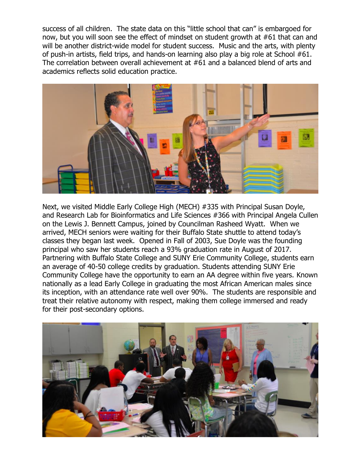success of all children. The state data on this "little school that can" is embargoed for now, but you will soon see the effect of mindset on student growth at #61 that can and will be another district-wide model for student success. Music and the arts, with plenty of push-in artists, field trips, and hands-on learning also play a big role at School #61. The correlation between overall achievement at #61 and a balanced blend of arts and academics reflects solid education practice.



Next, we visited Middle Early College High (MECH) #335 with Principal Susan Doyle, and Research Lab for Bioinformatics and Life Sciences #366 with Principal Angela Cullen on the Lewis J. Bennett Campus, joined by Councilman Rasheed Wyatt. When we arrived, MECH seniors were waiting for their Buffalo State shuttle to attend today's classes they began last week. Opened in Fall of 2003, Sue Doyle was the founding principal who saw her students reach a 93% graduation rate in August of 2017. Partnering with Buffalo State College and SUNY Erie Community College, students earn an average of 40-50 college credits by graduation. Students attending SUNY Erie Community College have the opportunity to earn an AA degree within five years. Known nationally as a lead Early College in graduating the most African American males since its inception, with an attendance rate well over 90%. The students are responsible and treat their relative autonomy with respect, making them college immersed and ready for their post-secondary options.

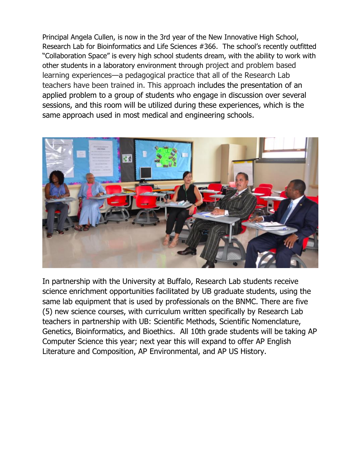Principal Angela Cullen, is now in the 3rd year of the New Innovative High School, Research Lab for Bioinformatics and Life Sciences #366. The school's recently outfitted "Collaboration Space" is every high school students dream, with the ability to work with other students in a laboratory environment through project and problem based learning experiences—a pedagogical practice that all of the Research Lab teachers have been trained in. This approach includes the presentation of an applied problem to a group of students who engage in discussion over several sessions, and this room will be utilized during these experiences, which is the same approach used in most medical and engineering schools.



In partnership with the University at Buffalo, Research Lab students receive science enrichment opportunities facilitated by UB graduate students, using the same lab equipment that is used by professionals on the BNMC. There are five (5) new science courses, with curriculum written specifically by Research Lab teachers in partnership with UB: Scientific Methods, Scientific Nomenclature, Genetics, Bioinformatics, and Bioethics. All 10th grade students will be taking AP Computer Science this year; next year this will expand to offer AP English Literature and Composition, AP Environmental, and AP US History.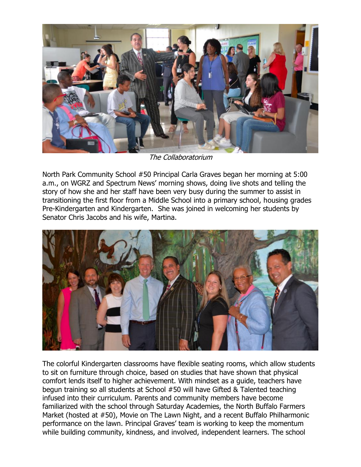

The Collaboratorium

North Park Community School #50 Principal Carla Graves began her morning at 5:00 a.m., on WGRZ and Spectrum News' morning shows, doing live shots and telling the story of how she and her staff have been very busy during the summer to assist in transitioning the first floor from a Middle School into a primary school, housing grades Pre-Kindergarten and Kindergarten. She was joined in welcoming her students by Senator Chris Jacobs and his wife, Martina.



The colorful Kindergarten classrooms have flexible seating rooms, which allow students to sit on furniture through choice, based on studies that have shown that physical comfort lends itself to higher achievement. With mindset as a guide, teachers have begun training so all students at School #50 will have Gifted & Talented teaching infused into their curriculum. Parents and community members have become familiarized with the school through Saturday Academies, the North Buffalo Farmers Market (hosted at #50), Movie on The Lawn Night, and a recent Buffalo Philharmonic performance on the lawn. Principal Graves' team is working to keep the momentum while building community, kindness, and involved, independent learners. The school